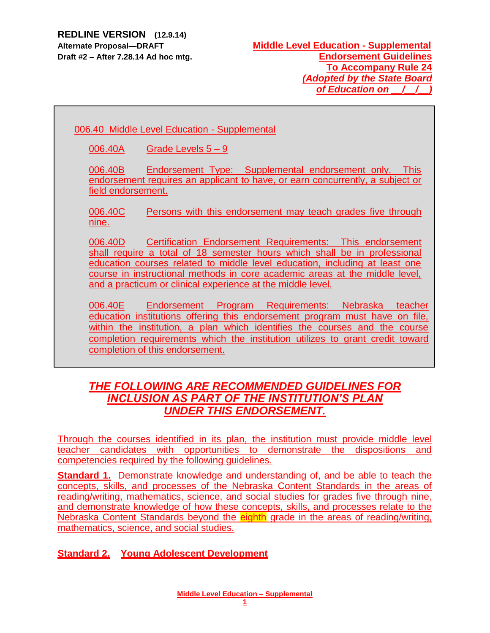# 006.40 Middle Level Education - Supplemental

006.40A Grade Levels 5 – 9

006.40B Endorsement Type: Supplemental endorsement only. This endorsement requires an applicant to have, or earn concurrently, a subject or field endorsement.

006.40C Persons with this endorsement may teach grades five through nine.

006.40D Certification Endorsement Requirements: This endorsement shall require a total of 18 semester hours which shall be in professional education courses related to middle level education, including at least one course in instructional methods in core academic areas at the middle level, and a practicum or clinical experience at the middle level.

006.40E Endorsement Program Requirements: Nebraska teacher education institutions offering this endorsement program must have on file, within the institution, a plan which identifies the courses and the course completion requirements which the institution utilizes to grant credit toward completion of this endorsement.

# *THE FOLLOWING ARE RECOMMENDED GUIDELINES FOR INCLUSION AS PART OF THE INSTITUTION'S PLAN UNDER THIS ENDORSEMENT.*

Through the courses identified in its plan, the institution must provide middle level teacher candidates with opportunities to demonstrate the dispositions and competencies required by the following guidelines.

**Standard 1.** Demonstrate knowledge and understanding of, and be able to teach the concepts, skills, and processes of the Nebraska Content Standards in the areas of reading/writing, mathematics, science, and social studies for grades five through nine, and demonstrate knowledge of how these concepts, skills, and processes relate to the Nebraska Content Standards beyond the eighth grade in the areas of reading/writing, mathematics, science, and social studies.

**Standard 2. Young Adolescent Development**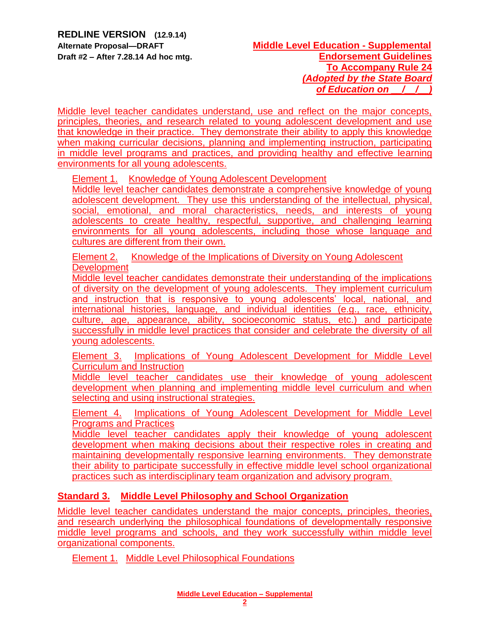### **Alternate Proposal—DRAFT Middle Level Education - Supplemental Draft #2 – After 7.28.14 Ad hoc mtg. Endorsement Guidelines To Accompany Rule 24** *(Adopted by the State Board of Education on \_\_/\_\_/\_\_)*

Middle level teacher candidates understand, use and reflect on the major concepts, principles, theories, and research related to young adolescent development and use that knowledge in their practice. They demonstrate their ability to apply this knowledge when making curricular decisions, planning and implementing instruction, participating in middle level programs and practices, and providing healthy and effective learning environments for all young adolescents.

**Element 1. Knowledge of Young Adolescent Development** 

Middle level teacher candidates demonstrate a comprehensive knowledge of young adolescent development. They use this understanding of the intellectual, physical, social, emotional, and moral characteristics, needs, and interests of young adolescents to create healthy, respectful, supportive, and challenging learning environments for all young adolescents, including those whose language and cultures are different from their own.

Element 2. Knowledge of the Implications of Diversity on Young Adolescent **Development** 

Middle level teacher candidates demonstrate their understanding of the implications of diversity on the development of young adolescents. They implement curriculum and instruction that is responsive to young adolescents' local, national, and international histories, language, and individual identities (e.g., race, ethnicity, culture, age, appearance, ability, socioeconomic status, etc.) and participate successfully in middle level practices that consider and celebrate the diversity of all young adolescents.

Element 3. Implications of Young Adolescent Development for Middle Level Curriculum and Instruction

Middle level teacher candidates use their knowledge of young adolescent development when planning and implementing middle level curriculum and when selecting and using instructional strategies.

Element 4. Implications of Young Adolescent Development for Middle Level Programs and Practices

Middle level teacher candidates apply their knowledge of young adolescent development when making decisions about their respective roles in creating and maintaining developmentally responsive learning environments. They demonstrate their ability to participate successfully in effective middle level school organizational practices such as interdisciplinary team organization and advisory program.

# **Standard 3. Middle Level Philosophy and School Organization**

Middle level teacher candidates understand the major concepts, principles, theories, and research underlying the philosophical foundations of developmentally responsive middle level programs and schools, and they work successfully within middle level organizational components.

Element 1. Middle Level Philosophical Foundations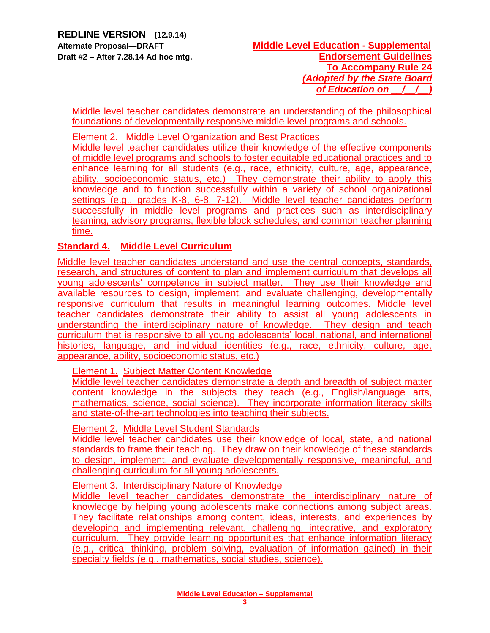Middle level teacher candidates demonstrate an understanding of the philosophical foundations of developmentally responsive middle level programs and schools.

Element 2. Middle Level Organization and Best Practices

Middle level teacher candidates utilize their knowledge of the effective components of middle level programs and schools to foster equitable educational practices and to enhance learning for all students (e.g., race, ethnicity, culture, age, appearance, ability, socioeconomic status, etc.) They demonstrate their ability to apply this knowledge and to function successfully within a variety of school organizational settings (e.g., grades K-8, 6-8, 7-12). Middle level teacher candidates perform successfully in middle level programs and practices such as interdisciplinary teaming, advisory programs, flexible block schedules, and common teacher planning time.

# **Standard 4. Middle Level Curriculum**

Middle level teacher candidates understand and use the central concepts, standards, research, and structures of content to plan and implement curriculum that develops all young adolescents' competence in subject matter. They use their knowledge and available resources to design, implement, and evaluate challenging, developmentally responsive curriculum that results in meaningful learning outcomes. Middle level teacher candidates demonstrate their ability to assist all young adolescents in understanding the interdisciplinary nature of knowledge. They design and teach curriculum that is responsive to all young adolescents' local, national, and international histories, language, and individual identities (e.g., race, ethnicity, culture, age, appearance, ability, socioeconomic status, etc.)

Element 1. Subject Matter Content Knowledge

Middle level teacher candidates demonstrate a depth and breadth of subject matter content knowledge in the subjects they teach (e.g., English/language arts, mathematics, science, social science). They incorporate information literacy skills and state-of-the-art technologies into teaching their subjects.

#### Element 2. Middle Level Student Standards

Middle level teacher candidates use their knowledge of local, state, and national standards to frame their teaching. They draw on their knowledge of these standards to design, implement, and evaluate developmentally responsive, meaningful, and challenging curriculum for all young adolescents.

Element 3. Interdisciplinary Nature of Knowledge

Middle level teacher candidates demonstrate the interdisciplinary nature of knowledge by helping young adolescents make connections among subject areas. They facilitate relationships among content, ideas, interests, and experiences by developing and implementing relevant, challenging, integrative, and exploratory curriculum. They provide learning opportunities that enhance information literacy (e.g., critical thinking, problem solving, evaluation of information gained) in their specialty fields (e.g., mathematics, social studies, science).